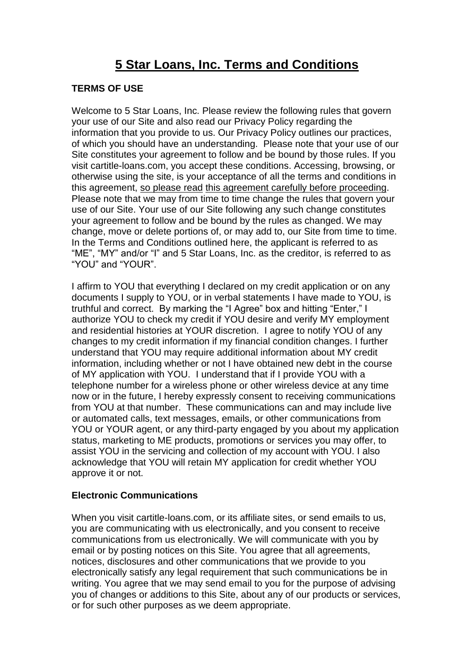# **5 Star Loans, Inc. Terms and Conditions**

## **TERMS OF USE**

Welcome to 5 Star Loans, Inc. Please review the following rules that govern your use of our Site and also read our Privacy Policy regarding the information that you provide to us. Our Privacy Policy outlines our practices, of which you should have an understanding. Please note that your use of our Site constitutes your agreement to follow and be bound by those rules. If you visit cartitle-loans.com, you accept these conditions. Accessing, browsing, or otherwise using the site, is your acceptance of all the terms and conditions in this agreement, so please read this agreement carefully before proceeding. Please note that we may from time to time change the rules that govern your use of our Site. Your use of our Site following any such change constitutes your agreement to follow and be bound by the rules as changed. We may change, move or delete portions of, or may add to, our Site from time to time. In the Terms and Conditions outlined here, the applicant is referred to as "ME", "MY" and/or "I" and 5 Star Loans, Inc. as the creditor, is referred to as "YOU" and "YOUR".

I affirm to YOU that everything I declared on my credit application or on any documents I supply to YOU, or in verbal statements I have made to YOU, is truthful and correct. By marking the "I Agree" box and hitting "Enter," I authorize YOU to check my credit if YOU desire and verify MY employment and residential histories at YOUR discretion. I agree to notify YOU of any changes to my credit information if my financial condition changes. I further understand that YOU may require additional information about MY credit information, including whether or not I have obtained new debt in the course of MY application with YOU. I understand that if I provide YOU with a telephone number for a wireless phone or other wireless device at any time now or in the future, I hereby expressly consent to receiving communications from YOU at that number. These communications can and may include live or automated calls, text messages, emails, or other communications from YOU or YOUR agent, or any third-party engaged by you about my application status, marketing to ME products, promotions or services you may offer, to assist YOU in the servicing and collection of my account with YOU. I also acknowledge that YOU will retain MY application for credit whether YOU approve it or not.

## **Electronic Communications**

When you visit cartitle-loans.com, or its affiliate sites, or send emails to us, you are communicating with us electronically, and you consent to receive communications from us electronically. We will communicate with you by email or by posting notices on this Site. You agree that all agreements, notices, disclosures and other communications that we provide to you electronically satisfy any legal requirement that such communications be in writing. You agree that we may send email to you for the purpose of advising you of changes or additions to this Site, about any of our products or services, or for such other purposes as we deem appropriate.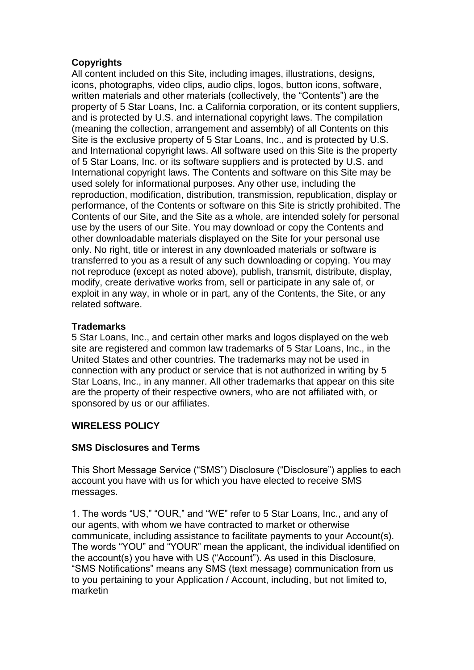## **Copyrights**

All content included on this Site, including images, illustrations, designs, icons, photographs, video clips, audio clips, logos, button icons, software, written materials and other materials (collectively, the "Contents") are the property of 5 Star Loans, Inc. a California corporation, or its content suppliers, and is protected by U.S. and international copyright laws. The compilation (meaning the collection, arrangement and assembly) of all Contents on this Site is the exclusive property of 5 Star Loans, Inc., and is protected by U.S. and International copyright laws. All software used on this Site is the property of 5 Star Loans, Inc. or its software suppliers and is protected by U.S. and International copyright laws. The Contents and software on this Site may be used solely for informational purposes. Any other use, including the reproduction, modification, distribution, transmission, republication, display or performance, of the Contents or software on this Site is strictly prohibited. The Contents of our Site, and the Site as a whole, are intended solely for personal use by the users of our Site. You may download or copy the Contents and other downloadable materials displayed on the Site for your personal use only. No right, title or interest in any downloaded materials or software is transferred to you as a result of any such downloading or copying. You may not reproduce (except as noted above), publish, transmit, distribute, display, modify, create derivative works from, sell or participate in any sale of, or exploit in any way, in whole or in part, any of the Contents, the Site, or any related software.

## **Trademarks**

5 Star Loans, Inc., and certain other marks and logos displayed on the web site are registered and common law trademarks of 5 Star Loans, Inc., in the United States and other countries. The trademarks may not be used in connection with any product or service that is not authorized in writing by 5 Star Loans, Inc., in any manner. All other trademarks that appear on this site are the property of their respective owners, who are not affiliated with, or sponsored by us or our affiliates.

# **WIRELESS POLICY**

## **SMS Disclosures and Terms**

This Short Message Service ("SMS") Disclosure ("Disclosure") applies to each account you have with us for which you have elected to receive SMS messages.

1. The words "US," "OUR," and "WE" refer to 5 Star Loans, Inc., and any of our agents, with whom we have contracted to market or otherwise communicate, including assistance to facilitate payments to your Account(s). The words "YOU" and "YOUR" mean the applicant, the individual identified on the account(s) you have with US ("Account"). As used in this Disclosure, "SMS Notifications" means any SMS (text message) communication from us to you pertaining to your Application / Account, including, but not limited to, marketin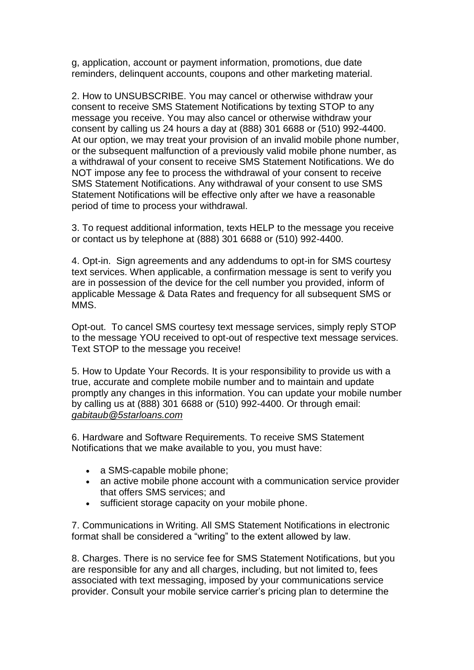g, application, account or payment information, promotions, due date reminders, delinquent accounts, coupons and other marketing material.

2. How to UNSUBSCRIBE. You may cancel or otherwise withdraw your consent to receive SMS Statement Notifications by texting STOP to any message you receive. You may also cancel or otherwise withdraw your consent by calling us 24 hours a day at (888) 301 6688 or (510) 992-4400. At our option, we may treat your provision of an invalid mobile phone number, or the subsequent malfunction of a previously valid mobile phone number, as a withdrawal of your consent to receive SMS Statement Notifications. We do NOT impose any fee to process the withdrawal of your consent to receive SMS Statement Notifications. Any withdrawal of your consent to use SMS Statement Notifications will be effective only after we have a reasonable period of time to process your withdrawal.

3. To request additional information, texts HELP to the message you receive or contact us by telephone at (888) 301 6688 or (510) 992-4400.

4. Opt-in. Sign agreements and any addendums to opt-in for SMS courtesy text services. When applicable, a confirmation message is sent to verify you are in possession of the device for the cell number you provided, inform of applicable Message & Data Rates and frequency for all subsequent SMS or MMS.

Opt-out. To cancel SMS courtesy text message services, simply reply STOP to the message YOU received to opt-out of respective text message services. Text STOP to the message you receive!

5. How to Update Your Records. It is your responsibility to provide us with a true, accurate and complete mobile number and to maintain and update promptly any changes in this information. You can update your mobile number by calling us at (888) 301 6688 or (510) 992-4400. Or through email: *gabitaub@5starloans.com*

6. Hardware and Software Requirements. To receive SMS Statement Notifications that we make available to you, you must have:

- a SMS-capable mobile phone;
- an active mobile phone account with a communication service provider that offers SMS services; and
- sufficient storage capacity on your mobile phone.

7. Communications in Writing. All SMS Statement Notifications in electronic format shall be considered a "writing" to the extent allowed by law.

8. Charges. There is no service fee for SMS Statement Notifications, but you are responsible for any and all charges, including, but not limited to, fees associated with text messaging, imposed by your communications service provider. Consult your mobile service carrier's pricing plan to determine the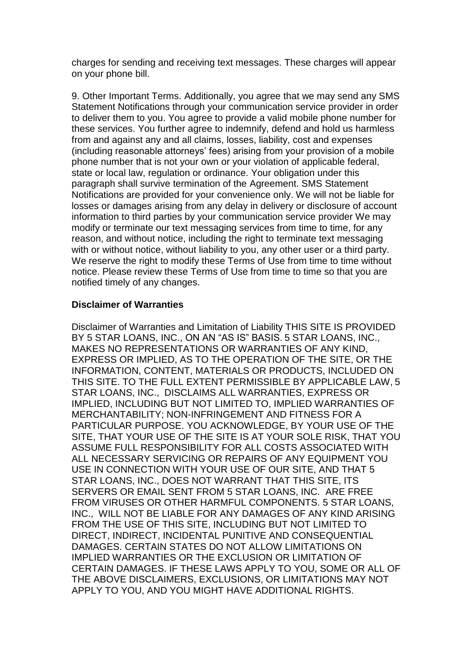charges for sending and receiving text messages. These charges will appear on your phone bill.

9. Other Important Terms. Additionally, you agree that we may send any SMS Statement Notifications through your communication service provider in order to deliver them to you. You agree to provide a valid mobile phone number for these services. You further agree to indemnify, defend and hold us harmless from and against any and all claims, losses, liability, cost and expenses (including reasonable attorneys' fees) arising from your provision of a mobile phone number that is not your own or your violation of applicable federal, state or local law, regulation or ordinance. Your obligation under this paragraph shall survive termination of the Agreement. SMS Statement Notifications are provided for your convenience only. We will not be liable for losses or damages arising from any delay in delivery or disclosure of account information to third parties by your communication service provider We may modify or terminate our text messaging services from time to time, for any reason, and without notice, including the right to terminate text messaging with or without notice, without liability to you, any other user or a third party. We reserve the right to modify these Terms of Use from time to time without notice. Please review these Terms of Use from time to time so that you are notified timely of any changes.

### **Disclaimer of Warranties**

Disclaimer of Warranties and Limitation of Liability THIS SITE IS PROVIDED BY 5 STAR LOANS, INC., ON AN "AS IS" BASIS. 5 STAR LOANS, INC., MAKES NO REPRESENTATIONS OR WARRANTIES OF ANY KIND, EXPRESS OR IMPLIED, AS TO THE OPERATION OF THE SITE, OR THE INFORMATION, CONTENT, MATERIALS OR PRODUCTS, INCLUDED ON THIS SITE. TO THE FULL EXTENT PERMISSIBLE BY APPLICABLE LAW, 5 STAR LOANS, INC., DISCLAIMS ALL WARRANTIES, EXPRESS OR IMPLIED, INCLUDING BUT NOT LIMITED TO, IMPLIED WARRANTIES OF MERCHANTABILITY; NON-INFRINGEMENT AND FITNESS FOR A PARTICULAR PURPOSE. YOU ACKNOWLEDGE, BY YOUR USE OF THE SITE, THAT YOUR USE OF THE SITE IS AT YOUR SOLE RISK, THAT YOU ASSUME FULL RESPONSIBILITY FOR ALL COSTS ASSOCIATED WITH ALL NECESSARY SERVICING OR REPAIRS OF ANY EQUIPMENT YOU USE IN CONNECTION WITH YOUR USE OF OUR SITE, AND THAT 5 STAR LOANS, INC., DOES NOT WARRANT THAT THIS SITE, ITS SERVERS OR EMAIL SENT FROM 5 STAR LOANS, INC. ARE FREE FROM VIRUSES OR OTHER HARMFUL COMPONENTS. 5 STAR LOANS, INC., WILL NOT BE LIABLE FOR ANY DAMAGES OF ANY KIND ARISING FROM THE USE OF THIS SITE, INCLUDING BUT NOT LIMITED TO DIRECT, INDIRECT, INCIDENTAL PUNITIVE AND CONSEQUENTIAL DAMAGES. CERTAIN STATES DO NOT ALLOW LIMITATIONS ON IMPLIED WARRANTIES OR THE EXCLUSION OR LIMITATION OF CERTAIN DAMAGES. IF THESE LAWS APPLY TO YOU, SOME OR ALL OF THE ABOVE DISCLAIMERS, EXCLUSIONS, OR LIMITATIONS MAY NOT APPLY TO YOU, AND YOU MIGHT HAVE ADDITIONAL RIGHTS.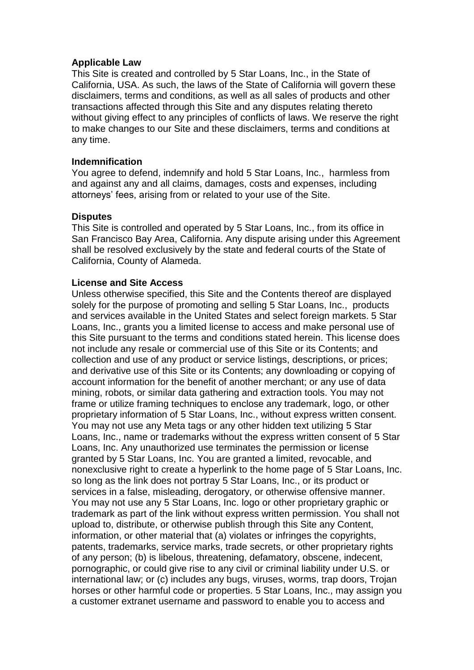#### **Applicable Law**

This Site is created and controlled by 5 Star Loans, Inc., in the State of California, USA. As such, the laws of the State of California will govern these disclaimers, terms and conditions, as well as all sales of products and other transactions affected through this Site and any disputes relating thereto without giving effect to any principles of conflicts of laws. We reserve the right to make changes to our Site and these disclaimers, terms and conditions at any time.

#### **Indemnification**

You agree to defend, indemnify and hold 5 Star Loans, Inc., harmless from and against any and all claims, damages, costs and expenses, including attorneys' fees, arising from or related to your use of the Site.

#### **Disputes**

This Site is controlled and operated by 5 Star Loans, Inc., from its office in San Francisco Bay Area, California. Any dispute arising under this Agreement shall be resolved exclusively by the state and federal courts of the State of California, County of Alameda.

#### **License and Site Access**

Unless otherwise specified, this Site and the Contents thereof are displayed solely for the purpose of promoting and selling 5 Star Loans, Inc., products and services available in the United States and select foreign markets. 5 Star Loans, Inc., grants you a limited license to access and make personal use of this Site pursuant to the terms and conditions stated herein. This license does not include any resale or commercial use of this Site or its Contents; and collection and use of any product or service listings, descriptions, or prices; and derivative use of this Site or its Contents; any downloading or copying of account information for the benefit of another merchant; or any use of data mining, robots, or similar data gathering and extraction tools. You may not frame or utilize framing techniques to enclose any trademark, logo, or other proprietary information of 5 Star Loans, Inc., without express written consent. You may not use any Meta tags or any other hidden text utilizing 5 Star Loans, Inc., name or trademarks without the express written consent of 5 Star Loans, Inc. Any unauthorized use terminates the permission or license granted by 5 Star Loans, Inc. You are granted a limited, revocable, and nonexclusive right to create a hyperlink to the home page of 5 Star Loans, Inc. so long as the link does not portray 5 Star Loans, Inc., or its product or services in a false, misleading, derogatory, or otherwise offensive manner. You may not use any 5 Star Loans, Inc. logo or other proprietary graphic or trademark as part of the link without express written permission. You shall not upload to, distribute, or otherwise publish through this Site any Content, information, or other material that (a) violates or infringes the copyrights, patents, trademarks, service marks, trade secrets, or other proprietary rights of any person; (b) is libelous, threatening, defamatory, obscene, indecent, pornographic, or could give rise to any civil or criminal liability under U.S. or international law; or (c) includes any bugs, viruses, worms, trap doors, Trojan horses or other harmful code or properties. 5 Star Loans, Inc., may assign you a customer extranet username and password to enable you to access and